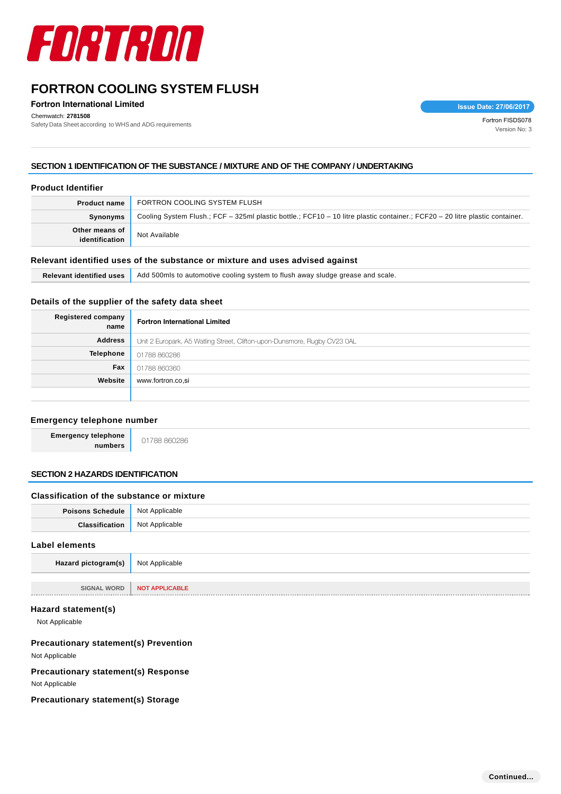

**Fortron International Limited**

Chemwatch: **2781508**

Chemwatch: 2781508<br>Safety Data Sheet according to WHS and ADG requirements Fortron FISDS078

**Issue Date: 27/06/2017**

Version No: 3

### **SECTION 1 IDENTIFICATION OF THE SUBSTANCE / MIXTURE AND OF THE COMPANY / UNDERTAKING**

#### **Product Identifier**

| <b>Product name</b>              | FORTRON COOLING SYSTEM FLUSH                                                                                                 |  |
|----------------------------------|------------------------------------------------------------------------------------------------------------------------------|--|
| Synonyms                         | Cooling System Flush.; FCF - 325ml plastic bottle.; FCF10 - 10 litre plastic container.; FCF20 - 20 litre plastic container. |  |
| Other means of<br>identification | Not Available                                                                                                                |  |

### **Relevant identified uses of the substance or mixture and uses advised against**

| <b>Relevant identified uses</b> | Add 500mls to automotive cooling system to flush away sludge grease and scale. |
|---------------------------------|--------------------------------------------------------------------------------|
|---------------------------------|--------------------------------------------------------------------------------|

### **Details of the supplier of the safety data sheet**

| <b>Registered company</b><br>name | <b>Fortron International Limited</b>                                      |
|-----------------------------------|---------------------------------------------------------------------------|
| <b>Address</b>                    | Unit 2 Europark, A5 Watling Street, Clifton-upon-Dunsmore, Rugby CV23 0AL |
| Telephone                         | 01788 860286                                                              |
| Fax                               | 01788 860360                                                              |
| Website                           | www.fortron.co.si                                                         |
|                                   |                                                                           |

### **Emergency telephone number**

**Emergency telephone**

**numbers** 01788 860286

### **SECTION 2 HAZARDS IDENTIFICATION**

#### **Classification of the substance or mixture**

| Not Applicable        |
|-----------------------|
|                       |
| Not Applicable        |
|                       |
| <b>NOT APPLICABLE</b> |
|                       |

### **Hazard statement(s)**

Not Applicable

### **Precautionary statement(s) Prevention**

Not Applicable

### **Precautionary statement(s) Response**

Not Applicable

# **Precautionary statement(s) Storage**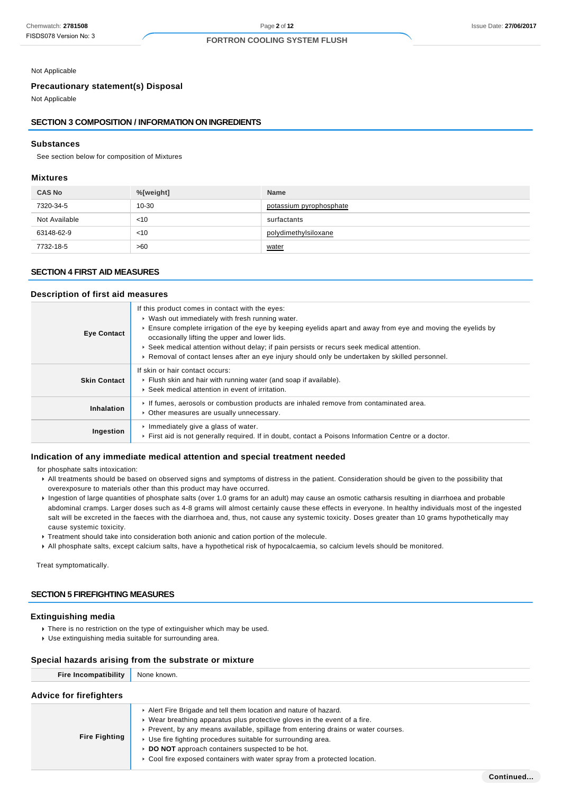Not Applicable

# **Precautionary statement(s) Disposal**

Not Applicable

#### **SECTION 3 COMPOSITION / INFORMATION ON INGREDIENTS**

#### **Substances**

See section below for composition of Mixtures

#### **Mixtures**

| <b>CAS No</b> | %[weight] | <b>Name</b>             |
|---------------|-----------|-------------------------|
| 7320-34-5     | 10-30     | potassium pyrophosphate |
| Not Available | $<$ 10    | surfactants             |
| 63148-62-9    | $<$ 10    | polydimethylsiloxane    |
| 7732-18-5     | >60       | water                   |

#### **SECTION 4 FIRST AID MEASURES**

#### **Description of first aid measures**

| <b>Eye Contact</b>  | If this product comes in contact with the eyes:<br>• Wash out immediately with fresh running water.<br>Ensure complete irrigation of the eye by keeping eyelids apart and away from eye and moving the eyelids by<br>occasionally lifting the upper and lower lids.<br>► Seek medical attention without delay; if pain persists or recurs seek medical attention.<br>► Removal of contact lenses after an eye injury should only be undertaken by skilled personnel. |
|---------------------|----------------------------------------------------------------------------------------------------------------------------------------------------------------------------------------------------------------------------------------------------------------------------------------------------------------------------------------------------------------------------------------------------------------------------------------------------------------------|
| <b>Skin Contact</b> | If skin or hair contact occurs:<br>Flush skin and hair with running water (and soap if available).<br>▶ Seek medical attention in event of irritation.                                                                                                                                                                                                                                                                                                               |
| Inhalation          | If fumes, aerosols or combustion products are inhaled remove from contaminated area.<br>• Other measures are usually unnecessary.                                                                                                                                                                                                                                                                                                                                    |
| Ingestion           | Immediately give a glass of water.<br>First aid is not generally required. If in doubt, contact a Poisons Information Centre or a doctor.                                                                                                                                                                                                                                                                                                                            |

#### **Indication of any immediate medical attention and special treatment needed**

for phosphate salts intoxication:

- All treatments should be based on observed signs and symptoms of distress in the patient. Consideration should be given to the possibility that overexposure to materials other than this product may have occurred.
- Ingestion of large quantities of phosphate salts (over 1.0 grams for an adult) may cause an osmotic catharsis resulting in diarrhoea and probable abdominal cramps. Larger doses such as 4-8 grams will almost certainly cause these effects in everyone. In healthy individuals most of the ingested salt will be excreted in the faeces with the diarrhoea and, thus, not cause any systemic toxicity. Doses greater than 10 grams hypothetically may cause systemic toxicity.
- **F** Treatment should take into consideration both anionic and cation portion of the molecule.
- All phosphate salts, except calcium salts, have a hypothetical risk of hypocalcaemia, so calcium levels should be monitored.

Treat symptomatically.

# **SECTION 5 FIREFIGHTING MEASURES**

#### **Extinguishing media**

- There is no restriction on the type of extinguisher which may be used.
- Use extinguishing media suitable for surrounding area.

# **Special hazards arising from the substrate or mixture**

| Fire Incompatibility None known. |                                                                                                                                                                                                                                   |
|----------------------------------|-----------------------------------------------------------------------------------------------------------------------------------------------------------------------------------------------------------------------------------|
| <b>Advice for firefighters</b>   |                                                                                                                                                                                                                                   |
|                                  | $\mathbf{r}$ . A finite finite finite and in a set of the finite state of the state of the set of the set of the set of the set of the set of the set of the set of the set of the set of the set of the set of the set of the se |

|                      | Alert Fire Brigade and tell them location and nature of hazard.                    |
|----------------------|------------------------------------------------------------------------------------|
|                      | Wear breathing apparatus plus protective gloves in the event of a fire.            |
|                      | ► Prevent, by any means available, spillage from entering drains or water courses. |
| <b>Fire Fighting</b> | ■ Use fire fighting procedures suitable for surrounding area.                      |
|                      | ▶ DO NOT approach containers suspected to be hot.                                  |
|                      | ► Cool fire exposed containers with water spray from a protected location.         |
|                      |                                                                                    |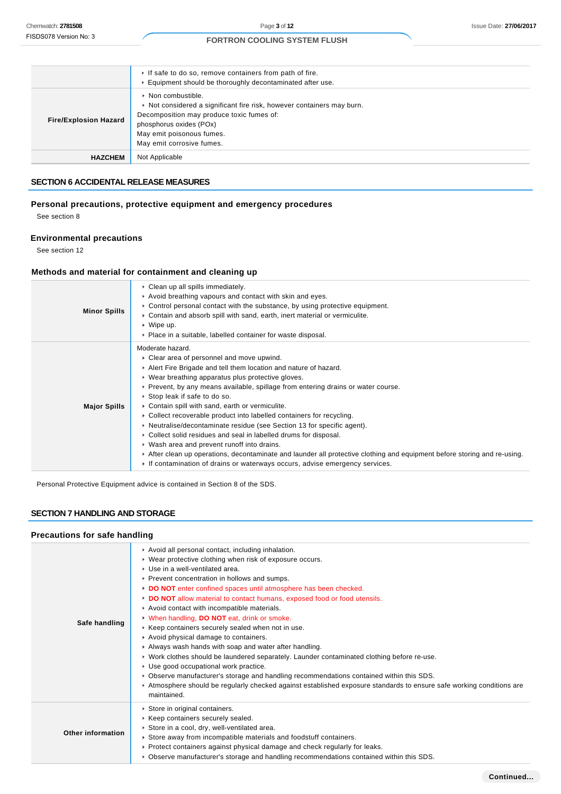|                              | If safe to do so, remove containers from path of fire.<br>Equipment should be thoroughly decontaminated after use.                                                                                                                          |
|------------------------------|---------------------------------------------------------------------------------------------------------------------------------------------------------------------------------------------------------------------------------------------|
| <b>Fire/Explosion Hazard</b> | $\triangleright$ Non combustible.<br>Not considered a significant fire risk, however containers may burn.<br>Decomposition may produce toxic fumes of:<br>phosphorus oxides (POx)<br>May emit poisonous fumes.<br>May emit corrosive fumes. |
| <b>HAZCHEM</b>               | Not Applicable                                                                                                                                                                                                                              |

### **SECTION 6 ACCIDENTAL RELEASE MEASURES**

### **Personal precautions, protective equipment and emergency procedures**

See section 8

### **Environmental precautions**

See section 12

#### **Methods and material for containment and cleaning up**

| <b>Minor Spills</b> | • Clean up all spills immediately.<br>Avoid breathing vapours and contact with skin and eyes.<br>$\triangleright$ Control personal contact with the substance, by using protective equipment.<br>► Contain and absorb spill with sand, earth, inert material or vermiculite.<br>$\cdot$ Wipe up.<br>• Place in a suitable, labelled container for waste disposal.                                                                                                                                                                                                                                                                                                                                                                                                                                                                                  |
|---------------------|----------------------------------------------------------------------------------------------------------------------------------------------------------------------------------------------------------------------------------------------------------------------------------------------------------------------------------------------------------------------------------------------------------------------------------------------------------------------------------------------------------------------------------------------------------------------------------------------------------------------------------------------------------------------------------------------------------------------------------------------------------------------------------------------------------------------------------------------------|
| <b>Major Spills</b> | Moderate hazard.<br>• Clear area of personnel and move upwind.<br>Alert Fire Brigade and tell them location and nature of hazard.<br>• Wear breathing apparatus plus protective gloves.<br>► Prevent, by any means available, spillage from entering drains or water course.<br>▶ Stop leak if safe to do so.<br>• Contain spill with sand, earth or vermiculite.<br>• Collect recoverable product into labelled containers for recycling.<br>• Neutralise/decontaminate residue (see Section 13 for specific agent).<br>• Collect solid residues and seal in labelled drums for disposal.<br>• Wash area and prevent runoff into drains.<br>After clean up operations, decontaminate and launder all protective clothing and equipment before storing and re-using.<br>If contamination of drains or waterways occurs, advise emergency services. |

Personal Protective Equipment advice is contained in Section 8 of the SDS.

# **SECTION 7 HANDLING AND STORAGE**

### **Precautions for safe handling**

| Safe handling            | Avoid all personal contact, including inhalation.<br>▶ Wear protective clothing when risk of exposure occurs.<br>▶ Use in a well-ventilated area.<br>▶ Prevent concentration in hollows and sumps.<br>DO NOT enter confined spaces until atmosphere has been checked.<br>DO NOT allow material to contact humans, exposed food or food utensils.<br>Avoid contact with incompatible materials.<br>V When handling, DO NOT eat, drink or smoke.<br>▶ Keep containers securely sealed when not in use.<br>Avoid physical damage to containers.<br>Always wash hands with soap and water after handling.<br>► Work clothes should be laundered separately. Launder contaminated clothing before re-use.<br>► Use good occupational work practice.<br>▶ Observe manufacturer's storage and handling recommendations contained within this SDS.<br>► Atmosphere should be regularly checked against established exposure standards to ensure safe working conditions are<br>maintained. |
|--------------------------|------------------------------------------------------------------------------------------------------------------------------------------------------------------------------------------------------------------------------------------------------------------------------------------------------------------------------------------------------------------------------------------------------------------------------------------------------------------------------------------------------------------------------------------------------------------------------------------------------------------------------------------------------------------------------------------------------------------------------------------------------------------------------------------------------------------------------------------------------------------------------------------------------------------------------------------------------------------------------------|
| <b>Other information</b> | Store in original containers.<br>▶ Keep containers securely sealed.<br>Store in a cool, dry, well-ventilated area.<br>► Store away from incompatible materials and foodstuff containers.<br>► Protect containers against physical damage and check regularly for leaks.<br>► Observe manufacturer's storage and handling recommendations contained within this SDS.                                                                                                                                                                                                                                                                                                                                                                                                                                                                                                                                                                                                                |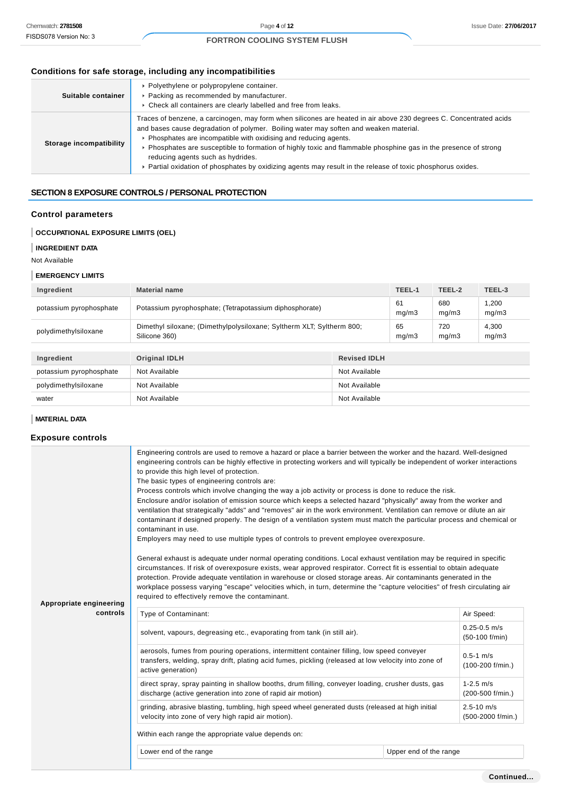# **Conditions for safe storage, including any incompatibilities**

| Suitable container      | • Polyethylene or polypropylene container.<br>▶ Packing as recommended by manufacturer.<br>• Check all containers are clearly labelled and free from leaks.                                                                                                                                                                                                                                                                                                                                                                                             |
|-------------------------|---------------------------------------------------------------------------------------------------------------------------------------------------------------------------------------------------------------------------------------------------------------------------------------------------------------------------------------------------------------------------------------------------------------------------------------------------------------------------------------------------------------------------------------------------------|
| Storage incompatibility | Traces of benzene, a carcinogen, may form when silicones are heated in air above 230 degrees C. Concentrated acids<br>and bases cause degradation of polymer. Boiling water may soften and weaken material.<br>▶ Phosphates are incompatible with oxidising and reducing agents.<br>▶ Phosphates are susceptible to formation of highly toxic and flammable phosphine gas in the presence of strong<br>reducing agents such as hydrides.<br>► Partial oxidation of phosphates by oxidizing agents may result in the release of toxic phosphorus oxides. |

# **SECTION 8 EXPOSURE CONTROLS / PERSONAL PROTECTION**

### **Control parameters**

### **OCCUPATIONAL EXPOSURE LIMITS (OEL)**

### **INGREDIENT DATA**

Not Available

#### **EMERGENCY LIMITS**

| Ingredient              | <b>Material name</b>                                                                   |                     | TEEL-1      | TEEL-2       | TEEL-3         |
|-------------------------|----------------------------------------------------------------------------------------|---------------------|-------------|--------------|----------------|
| potassium pyrophosphate | Potassium pyrophosphate; (Tetrapotassium diphosphorate)                                |                     | 61<br>mg/m3 | 680<br>mg/m3 | 1,200<br>mg/m3 |
| polydimethylsiloxane    | Dimethyl siloxane; (Dimethylpolysiloxane; Syltherm XLT; Syltherm 800;<br>Silicone 360) |                     | 65<br>mq/m3 | 720<br>mg/m3 | 4,300<br>mg/m3 |
|                         |                                                                                        |                     |             |              |                |
| Ingredient              | <b>Original IDLH</b>                                                                   | <b>Revised IDLH</b> |             |              |                |
| potassium pyrophosphate | Not Available                                                                          | Not Available       |             |              |                |
| polydimethylsiloxane    | Not Available                                                                          | Not Available       |             |              |                |
| water                   | Not Available                                                                          | Not Available       |             |              |                |

# **MATERIAL DATA**

# **Exposure controls**

|                         | Engineering controls are used to remove a hazard or place a barrier between the worker and the hazard. Well-designed<br>engineering controls can be highly effective in protecting workers and will typically be independent of worker interactions<br>to provide this high level of protection.<br>The basic types of engineering controls are:<br>Process controls which involve changing the way a job activity or process is done to reduce the risk.                                                                                        |                        |                                     |  |  |
|-------------------------|--------------------------------------------------------------------------------------------------------------------------------------------------------------------------------------------------------------------------------------------------------------------------------------------------------------------------------------------------------------------------------------------------------------------------------------------------------------------------------------------------------------------------------------------------|------------------------|-------------------------------------|--|--|
| Appropriate engineering | Enclosure and/or isolation of emission source which keeps a selected hazard "physically" away from the worker and<br>ventilation that strategically "adds" and "removes" air in the work environment. Ventilation can remove or dilute an air<br>contaminant if designed properly. The design of a ventilation system must match the particular process and chemical or<br>contaminant in use.<br>Employers may need to use multiple types of controls to prevent employee overexposure.                                                         |                        |                                     |  |  |
|                         | General exhaust is adequate under normal operating conditions. Local exhaust ventilation may be required in specific<br>circumstances. If risk of overexposure exists, wear approved respirator. Correct fit is essential to obtain adequate<br>protection. Provide adequate ventilation in warehouse or closed storage areas. Air contaminants generated in the<br>workplace possess varying "escape" velocities which, in turn, determine the "capture velocities" of fresh circulating air<br>required to effectively remove the contaminant. |                        |                                     |  |  |
| controls                | Type of Contaminant:                                                                                                                                                                                                                                                                                                                                                                                                                                                                                                                             |                        | Air Speed:                          |  |  |
|                         | solvent, vapours, degreasing etc., evaporating from tank (in still air).                                                                                                                                                                                                                                                                                                                                                                                                                                                                         |                        | $0.25 - 0.5$ m/s<br>(50-100 f/min)  |  |  |
|                         | aerosols, fumes from pouring operations, intermittent container filling, low speed conveyer<br>transfers, welding, spray drift, plating acid fumes, pickling (released at low velocity into zone of<br>active generation)                                                                                                                                                                                                                                                                                                                        |                        | $0.5 - 1$ m/s<br>(100-200 f/min.)   |  |  |
|                         | direct spray, spray painting in shallow booths, drum filling, conveyer loading, crusher dusts, gas<br>discharge (active generation into zone of rapid air motion)                                                                                                                                                                                                                                                                                                                                                                                |                        | $1 - 2.5$ m/s<br>(200-500 f/min.)   |  |  |
|                         | grinding, abrasive blasting, tumbling, high speed wheel generated dusts (released at high initial<br>velocity into zone of very high rapid air motion).                                                                                                                                                                                                                                                                                                                                                                                          |                        | $2.5 - 10$ m/s<br>(500-2000 f/min.) |  |  |
|                         | Within each range the appropriate value depends on:                                                                                                                                                                                                                                                                                                                                                                                                                                                                                              |                        |                                     |  |  |
|                         | Lower end of the range                                                                                                                                                                                                                                                                                                                                                                                                                                                                                                                           | Upper end of the range |                                     |  |  |
|                         |                                                                                                                                                                                                                                                                                                                                                                                                                                                                                                                                                  |                        |                                     |  |  |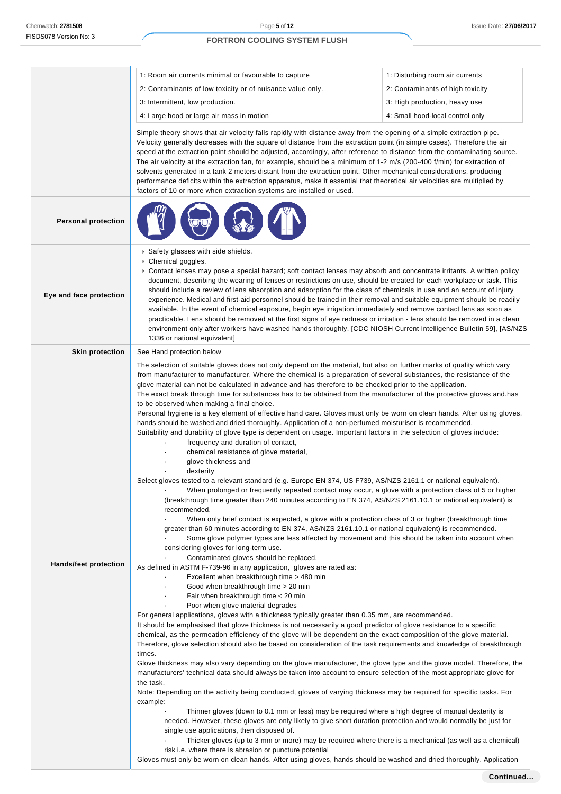**Personal protection**

**Eye and face protection**

# **FORTRON COOLING SYSTEM FLUSH**

| 1: Room air currents minimal or favourable to capture      | 1: Disturbing room air currents  |
|------------------------------------------------------------|----------------------------------|
| 2: Contaminants of low toxicity or of nuisance value only. | 2: Contaminants of high toxicity |
| 3: Intermittent, low production.                           | 3: High production, heavy use    |
| 4: Large hood or large air mass in motion                  | 4: Small hood-local control only |

Simple theory shows that air velocity falls rapidly with distance away from the opening of a simple extraction pipe. Velocity generally decreases with the square of distance from the extraction point (in simple cases). Therefore the air speed at the extraction point should be adjusted, accordingly, after reference to distance from the contaminating source. The air velocity at the extraction fan, for example, should be a minimum of 1-2 m/s (200-400 f/min) for extraction of solvents generated in a tank 2 meters distant from the extraction point. Other mechanical considerations, producing performance deficits within the extraction apparatus, make it essential that theoretical air velocities are multiplied by factors of 10 or more when extraction systems are installed or used.

|  | - |
|--|---|

| .<br><b>NEW YORK</b>                                   |
|--------------------------------------------------------|
| ▶ Safety glasses with side shields.                    |
| Chemical goggles.                                      |
| • Contact lenses may pose a special hazard; soft conta |

act lenses may absorb and concentrate irritants. A written policy document, describing the wearing of lenses or restrictions on use, should be created for each workplace or task. This should include a review of lens absorption and adsorption for the class of chemicals in use and an account of injury experience. Medical and first-aid personnel should be trained in their removal and suitable equipment should be readily available. In the event of chemical exposure, begin eye irrigation immediately and remove contact lens as soon as practicable. Lens should be removed at the first signs of eye redness or irritation - lens should be removed in a clean environment only after workers have washed hands thoroughly. [CDC NIOSH Current Intelligence Bulletin 59], [AS/NZS 1336 or national equivalent]

|                              | 1336 or national equivalent]                                                                                                                                                                                                                                                                                                                                                                                                                                                                                                                                                                                                                                                                                                                                                                                                                                                                                                                                                                                                                                                                                                                                                                                                                                                                                                                                                                                                                                                                                                                                                                                                                                                                                                                                                                                                                                                                                                                                                                                                                                                                                                                                                                                                                                                                                                                                                                                                                                                                                                                                                                                                                                                                                                                                                                                                                                                                                                                                                                                                                                                                                                                                                                                                                                                                                                                                                        |
|------------------------------|-------------------------------------------------------------------------------------------------------------------------------------------------------------------------------------------------------------------------------------------------------------------------------------------------------------------------------------------------------------------------------------------------------------------------------------------------------------------------------------------------------------------------------------------------------------------------------------------------------------------------------------------------------------------------------------------------------------------------------------------------------------------------------------------------------------------------------------------------------------------------------------------------------------------------------------------------------------------------------------------------------------------------------------------------------------------------------------------------------------------------------------------------------------------------------------------------------------------------------------------------------------------------------------------------------------------------------------------------------------------------------------------------------------------------------------------------------------------------------------------------------------------------------------------------------------------------------------------------------------------------------------------------------------------------------------------------------------------------------------------------------------------------------------------------------------------------------------------------------------------------------------------------------------------------------------------------------------------------------------------------------------------------------------------------------------------------------------------------------------------------------------------------------------------------------------------------------------------------------------------------------------------------------------------------------------------------------------------------------------------------------------------------------------------------------------------------------------------------------------------------------------------------------------------------------------------------------------------------------------------------------------------------------------------------------------------------------------------------------------------------------------------------------------------------------------------------------------------------------------------------------------------------------------------------------------------------------------------------------------------------------------------------------------------------------------------------------------------------------------------------------------------------------------------------------------------------------------------------------------------------------------------------------------------------------------------------------------------------------------------------------------|
| <b>Skin protection</b>       | See Hand protection below                                                                                                                                                                                                                                                                                                                                                                                                                                                                                                                                                                                                                                                                                                                                                                                                                                                                                                                                                                                                                                                                                                                                                                                                                                                                                                                                                                                                                                                                                                                                                                                                                                                                                                                                                                                                                                                                                                                                                                                                                                                                                                                                                                                                                                                                                                                                                                                                                                                                                                                                                                                                                                                                                                                                                                                                                                                                                                                                                                                                                                                                                                                                                                                                                                                                                                                                                           |
| <b>Hands/feet protection</b> | The selection of suitable gloves does not only depend on the material, but also on further marks of quality which vary<br>from manufacturer to manufacturer. Where the chemical is a preparation of several substances, the resistance of the<br>glove material can not be calculated in advance and has therefore to be checked prior to the application.<br>The exact break through time for substances has to be obtained from the manufacturer of the protective gloves and has<br>to be observed when making a final choice.<br>Personal hygiene is a key element of effective hand care. Gloves must only be worn on clean hands. After using gloves,<br>hands should be washed and dried thoroughly. Application of a non-perfumed moisturiser is recommended.<br>Suitability and durability of glove type is dependent on usage. Important factors in the selection of gloves include:<br>frequency and duration of contact,<br>chemical resistance of glove material,<br>glove thickness and<br>dexterity<br>Select gloves tested to a relevant standard (e.g. Europe EN 374, US F739, AS/NZS 2161.1 or national equivalent).<br>When prolonged or frequently repeated contact may occur, a glove with a protection class of 5 or higher<br>(breakthrough time greater than 240 minutes according to EN 374, AS/NZS 2161.10.1 or national equivalent) is<br>recommended.<br>When only brief contact is expected, a glove with a protection class of 3 or higher (breakthrough time<br>greater than 60 minutes according to EN 374, AS/NZS 2161.10.1 or national equivalent) is recommended.<br>Some glove polymer types are less affected by movement and this should be taken into account when<br>considering gloves for long-term use.<br>Contaminated gloves should be replaced.<br>As defined in ASTM F-739-96 in any application, gloves are rated as:<br>Excellent when breakthrough time > 480 min<br>Good when breakthrough time > 20 min<br>Fair when breakthrough time < 20 min<br>Poor when glove material degrades<br>For general applications, gloves with a thickness typically greater than 0.35 mm, are recommended.<br>It should be emphasised that glove thickness is not necessarily a good predictor of glove resistance to a specific<br>chemical, as the permeation efficiency of the glove will be dependent on the exact composition of the glove material.<br>Therefore, glove selection should also be based on consideration of the task requirements and knowledge of breakthrough<br>times.<br>Glove thickness may also vary depending on the glove manufacturer, the glove type and the glove model. Therefore, the<br>manufacturers' technical data should always be taken into account to ensure selection of the most appropriate glove for<br>the task.<br>Note: Depending on the activity being conducted, gloves of varying thickness may be required for specific tasks. For<br>example:<br>Thinner gloves (down to 0.1 mm or less) may be required where a high degree of manual dexterity is<br>needed. However, these gloves are only likely to give short duration protection and would normally be just for<br>single use applications, then disposed of.<br>Thicker gloves (up to 3 mm or more) may be required where there is a mechanical (as well as a chemical)<br>risk i.e. where there is abrasion or puncture potential |
|                              | .<br>the contract of the contract of the contract of the contract of the contract of the contract of the contract of                                                                                                                                                                                                                                                                                                                                                                                                                                                                                                                                                                                                                                                                                                                                                                                                                                                                                                                                                                                                                                                                                                                                                                                                                                                                                                                                                                                                                                                                                                                                                                                                                                                                                                                                                                                                                                                                                                                                                                                                                                                                                                                                                                                                                                                                                                                                                                                                                                                                                                                                                                                                                                                                                                                                                                                                                                                                                                                                                                                                                                                                                                                                                                                                                                                                |

Gloves must only be worn on clean hands. After using gloves, hands should be washed and dried thoroughly. Application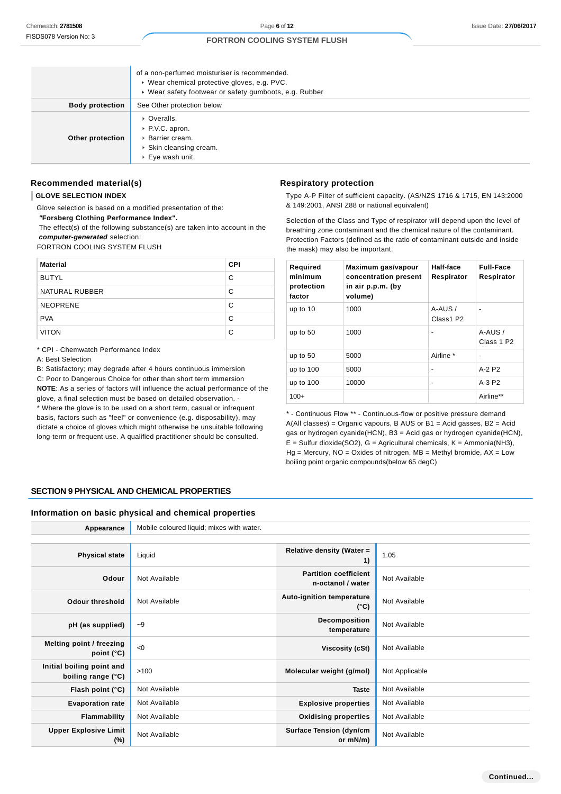|                        | of a non-perfumed moisturiser is recommended.<br>▶ Wear chemical protective gloves, e.g. PVC.<br>▶ Wear safety footwear or safety gumboots, e.g. Rubber |
|------------------------|---------------------------------------------------------------------------------------------------------------------------------------------------------|
| <b>Body protection</b> | See Other protection below                                                                                                                              |
| Other protection       | • Overalls.<br>▶ P.V.C. apron.<br>▶ Barrier cream.<br>▶ Skin cleansing cream.<br>$\triangleright$ Eye wash unit.                                        |

### **Recommended material(s)**

#### **GLOVE SELECTION INDEX**

| <b>Material</b> | <b>CPI</b> |
|-----------------|------------|
| <b>BUTYL</b>    | C          |
| NATURAL RUBBER  | C          |
| <b>NEOPRENE</b> | C          |
| <b>PVA</b>      | C          |
| <b>VITON</b>    | C          |

#### **Respiratory protection**

| Required<br>minimum<br>protection<br>factor | Maximum gas/vapour<br>concentration present<br>in air p.p.m. (by<br>volume) | Half-face<br>Respirator | <b>Full-Face</b><br>Respirator     |
|---------------------------------------------|-----------------------------------------------------------------------------|-------------------------|------------------------------------|
| up to 10                                    | 1000                                                                        | $A-AUS/$<br>Class1 P2   |                                    |
| up to $50$                                  | 1000                                                                        | -                       | $A-AUS/$<br>Class 1 P <sub>2</sub> |
| up to $50$                                  | 5000                                                                        | Airline *               | $\blacksquare$                     |
| up to 100                                   | 5000                                                                        | -                       | $A-2P2$                            |
| up to 100                                   | 10000                                                                       | -                       | A-3 P2                             |
| $100+$                                      |                                                                             |                         | Airline**                          |

# **SECTION 9 PHYSICAL AND CHEMICAL PROPERTIES**

#### **Information on basic physical and chemical properties**

| Chemwatch: 2781508                                                                                      |                                                                                                                                                                                                                                |            | Page 6 of 12                                                                     |                                                   |                                                                                                                                                                                                                                                                                  |                  | <b>Issue Date: 27/06/20</b>                                           |
|---------------------------------------------------------------------------------------------------------|--------------------------------------------------------------------------------------------------------------------------------------------------------------------------------------------------------------------------------|------------|----------------------------------------------------------------------------------|---------------------------------------------------|----------------------------------------------------------------------------------------------------------------------------------------------------------------------------------------------------------------------------------------------------------------------------------|------------------|-----------------------------------------------------------------------|
| FISDS078 Version No: 3                                                                                  | <b>FORTRON COOLING SYSTEM FLUSH</b>                                                                                                                                                                                            |            |                                                                                  |                                                   |                                                                                                                                                                                                                                                                                  |                  |                                                                       |
|                                                                                                         | of a non-perfumed moisturiser is recommended.<br>▶ Wear chemical protective gloves, e.g. PVC.                                                                                                                                  |            |                                                                                  |                                                   |                                                                                                                                                                                                                                                                                  |                  |                                                                       |
|                                                                                                         | ▶ Wear safety footwear or safety gumboots, e.g. Rubber                                                                                                                                                                         |            |                                                                                  |                                                   |                                                                                                                                                                                                                                                                                  |                  |                                                                       |
| <b>Body protection</b>                                                                                  | See Other protection below                                                                                                                                                                                                     |            |                                                                                  |                                                   |                                                                                                                                                                                                                                                                                  |                  |                                                                       |
| Other protection                                                                                        | • Overalls.<br>P.V.C. apron.<br>▶ Barrier cream.<br>Skin cleansing cream.<br>▶ Eye wash unit.                                                                                                                                  |            |                                                                                  |                                                   |                                                                                                                                                                                                                                                                                  |                  |                                                                       |
| Recommended material(s)                                                                                 |                                                                                                                                                                                                                                |            | <b>Respiratory protection</b>                                                    |                                                   |                                                                                                                                                                                                                                                                                  |                  |                                                                       |
| <b>GLOVE SELECTION INDEX</b>                                                                            |                                                                                                                                                                                                                                |            | Type A-P Filter of sufficient capacity. (AS/NZS 1716 & 1715, EN 143:2000         |                                                   |                                                                                                                                                                                                                                                                                  |                  |                                                                       |
| "Forsberg Clothing Performance Index".<br>computer-generated selection:<br>FORTRON COOLING SYSTEM FLUSH | Glove selection is based on a modified presentation of the:<br>The effect(s) of the following substance(s) are taken into account in the                                                                                       |            | & 149:2001, ANSI Z88 or national equivalent)<br>the mask) may also be important. |                                                   | Selection of the Class and Type of respirator will depend upon the level of<br>breathing zone contaminant and the chemical nature of the contaminant.<br>Protection Factors (defined as the ratio of contaminant outside and inside                                              |                  |                                                                       |
| <b>Material</b>                                                                                         |                                                                                                                                                                                                                                | <b>CPI</b> | Required                                                                         |                                                   | Maximum gas/vapour                                                                                                                                                                                                                                                               | <b>Half-face</b> | <b>Full-Face</b>                                                      |
| <b>BUTYL</b>                                                                                            |                                                                                                                                                                                                                                | C          | minimum                                                                          |                                                   | concentration present                                                                                                                                                                                                                                                            | Respirator       | Respirator                                                            |
| NATURAL RUBBER                                                                                          |                                                                                                                                                                                                                                | С          | protection<br>factor                                                             | in air p.p.m. (by<br>volume)                      |                                                                                                                                                                                                                                                                                  |                  |                                                                       |
| <b>NEOPRENE</b>                                                                                         |                                                                                                                                                                                                                                | C          | up to 10                                                                         | 1000                                              |                                                                                                                                                                                                                                                                                  | A-AUS /          | $\blacksquare$                                                        |
| <b>PVA</b>                                                                                              |                                                                                                                                                                                                                                | C          |                                                                                  |                                                   |                                                                                                                                                                                                                                                                                  | Class1 P2        |                                                                       |
| <b>VITON</b>                                                                                            |                                                                                                                                                                                                                                | C          | up to $50$                                                                       | 1000                                              |                                                                                                                                                                                                                                                                                  | $\overline{a}$   | A-AUS /<br>Class 1 P2                                                 |
| * CPI - Chemwatch Performance Index                                                                     |                                                                                                                                                                                                                                |            | up to $50$                                                                       | 5000                                              |                                                                                                                                                                                                                                                                                  | Airline *        |                                                                       |
| A: Best Selection                                                                                       | B: Satisfactory; may degrade after 4 hours continuous immersion                                                                                                                                                                |            | up to 100                                                                        | 5000                                              |                                                                                                                                                                                                                                                                                  |                  | A-2 P2                                                                |
|                                                                                                         | C: Poor to Dangerous Choice for other than short term immersion                                                                                                                                                                |            | up to 100                                                                        | 10000                                             |                                                                                                                                                                                                                                                                                  |                  | A-3 P2                                                                |
|                                                                                                         | <b>NOTE:</b> As a series of factors will influence the actual performance of the                                                                                                                                               |            | $100+$                                                                           |                                                   |                                                                                                                                                                                                                                                                                  |                  | Airline**                                                             |
|                                                                                                         | glove, a final selection must be based on detailed observation. -<br>* Where the glove is to be used on a short term, casual or infrequent                                                                                     |            |                                                                                  |                                                   |                                                                                                                                                                                                                                                                                  |                  |                                                                       |
| <b>SECTION 9 PHYSICAL AND CHEMICAL PROPERTIES</b>                                                       | basis, factors such as "feel" or convenience (e.g. disposability), may<br>dictate a choice of gloves which might otherwise be unsuitable following<br>long-term or frequent use. A qualified practitioner should be consulted. |            |                                                                                  |                                                   | $A(All classes) = Organic vapours, B AUS or B1 = Acid gases, B2 = Acid$<br>$E =$ Sulfur dioxide(SO2), G = Agricultural chemicals, K = Ammonia(NH3),<br>$Hg$ = Mercury, NO = Oxides of nitrogen, MB = Methyl bromide, AX = Low<br>boiling point organic compounds (below 65 degC) |                  | gas or hydrogen cyanide(HCN), B3 = Acid gas or hydrogen cyanide(HCN), |
| Information on basic physical and chemical properties                                                   |                                                                                                                                                                                                                                |            |                                                                                  |                                                   |                                                                                                                                                                                                                                                                                  |                  |                                                                       |
| Appearance                                                                                              | Mobile coloured liquid; mixes with water.                                                                                                                                                                                      |            |                                                                                  |                                                   |                                                                                                                                                                                                                                                                                  |                  |                                                                       |
| <b>Physical state</b>                                                                                   | Liquid                                                                                                                                                                                                                         |            | Relative density (Water =                                                        | 1)                                                | 1.05                                                                                                                                                                                                                                                                             |                  |                                                                       |
| Odour                                                                                                   | Not Available                                                                                                                                                                                                                  |            |                                                                                  | <b>Partition coefficient</b><br>n-octanol / water | Not Available                                                                                                                                                                                                                                                                    |                  |                                                                       |
| <b>Odour threshold</b>                                                                                  | Not Available                                                                                                                                                                                                                  |            | <b>Auto-ignition temperature</b><br>Not Available<br>$(^{\circ}C)$               |                                                   |                                                                                                                                                                                                                                                                                  |                  |                                                                       |
| pH (as supplied)                                                                                        | $-9$                                                                                                                                                                                                                           |            | Decomposition<br>Not Available<br>temperature                                    |                                                   |                                                                                                                                                                                                                                                                                  |                  |                                                                       |
| <b>Melting point / freezing</b><br>point $(^{\circ}C)$                                                  | < 0                                                                                                                                                                                                                            |            |                                                                                  | <b>Viscosity (cSt)</b>                            | Not Available                                                                                                                                                                                                                                                                    |                  |                                                                       |
| Initial boiling point and<br>boiling range (°C)                                                         | >100                                                                                                                                                                                                                           |            | Molecular weight (g/mol)                                                         |                                                   | Not Applicable                                                                                                                                                                                                                                                                   |                  |                                                                       |
| Flash point (°C)                                                                                        | Not Available                                                                                                                                                                                                                  |            |                                                                                  | <b>Taste</b>                                      | Not Available                                                                                                                                                                                                                                                                    |                  |                                                                       |
| <b>Evaporation rate</b>                                                                                 | Not Available                                                                                                                                                                                                                  |            | <b>Explosive properties</b>                                                      |                                                   | Not Available                                                                                                                                                                                                                                                                    |                  |                                                                       |
| <b>Flammability</b>                                                                                     | Not Available                                                                                                                                                                                                                  |            | <b>Oxidising properties</b>                                                      |                                                   | Not Available                                                                                                                                                                                                                                                                    |                  |                                                                       |
| <b>Upper Explosive Limit</b><br>$(\%)$                                                                  | Not Available                                                                                                                                                                                                                  |            | <b>Surface Tension (dyn/cm</b>                                                   | or mN/m)                                          | Not Available                                                                                                                                                                                                                                                                    |                  |                                                                       |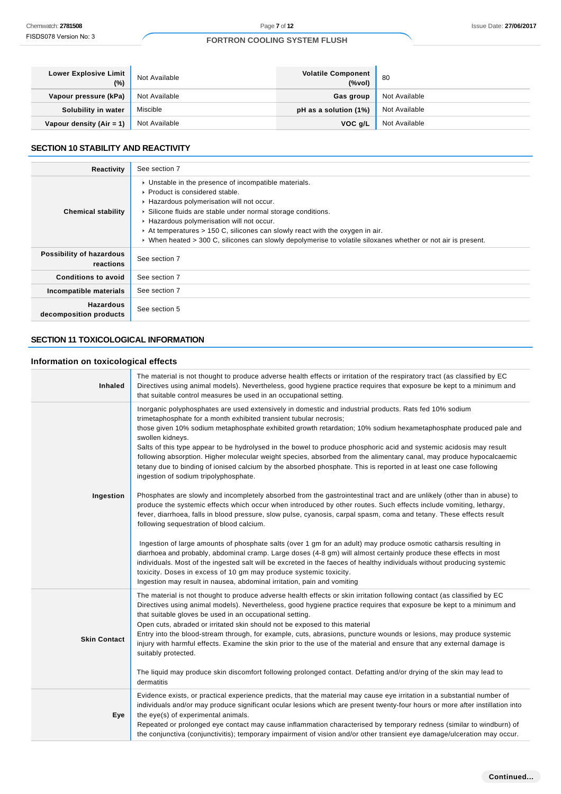| Lower Explosive Limit<br>$(\%)$ | Not Available | <b>Volatile Component</b><br>(% | -80           |
|---------------------------------|---------------|---------------------------------|---------------|
| Vapour pressure (kPa)           | Not Available | Gas group                       | Not Available |
| Solubility in water             | Miscible      | pH as a solution (1%)           | Not Available |
| Vapour density (Air = 1)        | Not Available | VOC g/L                         | Not Available |

#### **SECTION 10 STABILITY AND REACTIVITY**

| Reactivity                                 | See section 7                                                                                                                                                                                                                                                                                                                                                                                                                                                      |
|--------------------------------------------|--------------------------------------------------------------------------------------------------------------------------------------------------------------------------------------------------------------------------------------------------------------------------------------------------------------------------------------------------------------------------------------------------------------------------------------------------------------------|
| <b>Chemical stability</b>                  | • Unstable in the presence of incompatible materials.<br>$\triangleright$ Product is considered stable.<br>Hazardous polymerisation will not occur.<br>▶ Silicone fluids are stable under normal storage conditions.<br>Hazardous polymerisation will not occur.<br>At temperatures $> 150$ C, silicones can slowly react with the oxygen in air.<br>► When heated > 300 C, silicones can slowly depolymerise to volatile siloxanes whether or not air is present. |
| Possibility of hazardous<br>reactions      | See section 7                                                                                                                                                                                                                                                                                                                                                                                                                                                      |
| <b>Conditions to avoid</b>                 | See section 7                                                                                                                                                                                                                                                                                                                                                                                                                                                      |
| Incompatible materials                     | See section 7                                                                                                                                                                                                                                                                                                                                                                                                                                                      |
| <b>Hazardous</b><br>decomposition products | See section 5                                                                                                                                                                                                                                                                                                                                                                                                                                                      |

# **SECTION 11 TOXICOLOGICAL INFORMATION**

# **Information on toxicological effects**

| Chemwatch: 2781508                          | Page 7 of 12                                                                                                                                                                                                                                                                                                                                                                                                                                                                                                                                                                                                                                                                                                                                                                                                                                                                                                                                                                                                                                                                                                                                                                                                                                                                                                                                                                                                                                                                                                                      |                                     | <b>Issue Date: 27/06/2</b>                                                                                                                                                                                                                                                                                                                                                        |
|---------------------------------------------|-----------------------------------------------------------------------------------------------------------------------------------------------------------------------------------------------------------------------------------------------------------------------------------------------------------------------------------------------------------------------------------------------------------------------------------------------------------------------------------------------------------------------------------------------------------------------------------------------------------------------------------------------------------------------------------------------------------------------------------------------------------------------------------------------------------------------------------------------------------------------------------------------------------------------------------------------------------------------------------------------------------------------------------------------------------------------------------------------------------------------------------------------------------------------------------------------------------------------------------------------------------------------------------------------------------------------------------------------------------------------------------------------------------------------------------------------------------------------------------------------------------------------------------|-------------------------------------|-----------------------------------------------------------------------------------------------------------------------------------------------------------------------------------------------------------------------------------------------------------------------------------------------------------------------------------------------------------------------------------|
| FISDS078 Version No: 3                      | <b>FORTRON COOLING SYSTEM FLUSH</b>                                                                                                                                                                                                                                                                                                                                                                                                                                                                                                                                                                                                                                                                                                                                                                                                                                                                                                                                                                                                                                                                                                                                                                                                                                                                                                                                                                                                                                                                                               |                                     |                                                                                                                                                                                                                                                                                                                                                                                   |
|                                             |                                                                                                                                                                                                                                                                                                                                                                                                                                                                                                                                                                                                                                                                                                                                                                                                                                                                                                                                                                                                                                                                                                                                                                                                                                                                                                                                                                                                                                                                                                                                   |                                     |                                                                                                                                                                                                                                                                                                                                                                                   |
| <b>Lower Explosive Limit</b><br>$(\%)$      | Not Available                                                                                                                                                                                                                                                                                                                                                                                                                                                                                                                                                                                                                                                                                                                                                                                                                                                                                                                                                                                                                                                                                                                                                                                                                                                                                                                                                                                                                                                                                                                     | <b>Volatile Component</b><br>(%vol) | 80                                                                                                                                                                                                                                                                                                                                                                                |
| Vapour pressure (kPa)                       | Not Available                                                                                                                                                                                                                                                                                                                                                                                                                                                                                                                                                                                                                                                                                                                                                                                                                                                                                                                                                                                                                                                                                                                                                                                                                                                                                                                                                                                                                                                                                                                     | Gas group                           | Not Available                                                                                                                                                                                                                                                                                                                                                                     |
| Solubility in water                         | Miscible                                                                                                                                                                                                                                                                                                                                                                                                                                                                                                                                                                                                                                                                                                                                                                                                                                                                                                                                                                                                                                                                                                                                                                                                                                                                                                                                                                                                                                                                                                                          | pH as a solution (1%)               | Not Available                                                                                                                                                                                                                                                                                                                                                                     |
| Vapour density (Air = 1)                    | Not Available                                                                                                                                                                                                                                                                                                                                                                                                                                                                                                                                                                                                                                                                                                                                                                                                                                                                                                                                                                                                                                                                                                                                                                                                                                                                                                                                                                                                                                                                                                                     | VOC g/L                             | Not Available                                                                                                                                                                                                                                                                                                                                                                     |
| <b>SECTION 10 STABILITY AND REACTIVITY</b>  |                                                                                                                                                                                                                                                                                                                                                                                                                                                                                                                                                                                                                                                                                                                                                                                                                                                                                                                                                                                                                                                                                                                                                                                                                                                                                                                                                                                                                                                                                                                                   |                                     |                                                                                                                                                                                                                                                                                                                                                                                   |
| <b>Reactivity</b>                           | See section 7                                                                                                                                                                                                                                                                                                                                                                                                                                                                                                                                                                                                                                                                                                                                                                                                                                                                                                                                                                                                                                                                                                                                                                                                                                                                                                                                                                                                                                                                                                                     |                                     |                                                                                                                                                                                                                                                                                                                                                                                   |
| <b>Chemical stability</b>                   | • Unstable in the presence of incompatible materials.<br>▶ Product is considered stable.<br>Hazardous polymerisation will not occur.<br>Silicone fluids are stable under normal storage conditions.<br>Hazardous polymerisation will not occur.<br>At temperatures $> 150$ C, silicones can slowly react with the oxygen in air.<br>► When heated > 300 C, silicones can slowly depolymerise to volatile siloxanes whether or not air is present.                                                                                                                                                                                                                                                                                                                                                                                                                                                                                                                                                                                                                                                                                                                                                                                                                                                                                                                                                                                                                                                                                 |                                     |                                                                                                                                                                                                                                                                                                                                                                                   |
| Possibility of hazardous<br>reactions       | See section 7                                                                                                                                                                                                                                                                                                                                                                                                                                                                                                                                                                                                                                                                                                                                                                                                                                                                                                                                                                                                                                                                                                                                                                                                                                                                                                                                                                                                                                                                                                                     |                                     |                                                                                                                                                                                                                                                                                                                                                                                   |
| <b>Conditions to avoid</b>                  | See section 7                                                                                                                                                                                                                                                                                                                                                                                                                                                                                                                                                                                                                                                                                                                                                                                                                                                                                                                                                                                                                                                                                                                                                                                                                                                                                                                                                                                                                                                                                                                     |                                     |                                                                                                                                                                                                                                                                                                                                                                                   |
| Incompatible materials                      | See section 7                                                                                                                                                                                                                                                                                                                                                                                                                                                                                                                                                                                                                                                                                                                                                                                                                                                                                                                                                                                                                                                                                                                                                                                                                                                                                                                                                                                                                                                                                                                     |                                     |                                                                                                                                                                                                                                                                                                                                                                                   |
| Hazardous<br>decomposition products         | See section 5                                                                                                                                                                                                                                                                                                                                                                                                                                                                                                                                                                                                                                                                                                                                                                                                                                                                                                                                                                                                                                                                                                                                                                                                                                                                                                                                                                                                                                                                                                                     |                                     |                                                                                                                                                                                                                                                                                                                                                                                   |
| <b>SECTION 11 TOXICOLOGICAL INFORMATION</b> |                                                                                                                                                                                                                                                                                                                                                                                                                                                                                                                                                                                                                                                                                                                                                                                                                                                                                                                                                                                                                                                                                                                                                                                                                                                                                                                                                                                                                                                                                                                                   |                                     |                                                                                                                                                                                                                                                                                                                                                                                   |
| Information on toxicological effects        |                                                                                                                                                                                                                                                                                                                                                                                                                                                                                                                                                                                                                                                                                                                                                                                                                                                                                                                                                                                                                                                                                                                                                                                                                                                                                                                                                                                                                                                                                                                                   |                                     |                                                                                                                                                                                                                                                                                                                                                                                   |
| <b>Inhaled</b>                              | The material is not thought to produce adverse health effects or irritation of the respiratory tract (as classified by EC<br>Directives using animal models). Nevertheless, good hygiene practice requires that exposure be kept to a minimum and<br>that suitable control measures be used in an occupational setting.                                                                                                                                                                                                                                                                                                                                                                                                                                                                                                                                                                                                                                                                                                                                                                                                                                                                                                                                                                                                                                                                                                                                                                                                           |                                     |                                                                                                                                                                                                                                                                                                                                                                                   |
| Ingestion                                   | Inorganic polyphosphates are used extensively in domestic and industrial products. Rats fed 10% sodium<br>trimetaphosphate for a month exhibited transient tubular necrosis;<br>those given 10% sodium metaphosphate exhibited growth retardation; 10% sodium hexametaphosphate produced pale and<br>swollen kidneys.<br>Salts of this type appear to be hydrolysed in the bowel to produce phosphoric acid and systemic acidosis may result<br>following absorption. Higher molecular weight species, absorbed from the alimentary canal, may produce hypocalcaemic<br>tetany due to binding of ionised calcium by the absorbed phosphate. This is reported in at least one case following<br>ingestion of sodium tripolyphosphate.<br>Phosphates are slowly and incompletely absorbed from the gastrointestinal tract and are unlikely (other than in abuse) to<br>produce the systemic effects which occur when introduced by other routes. Such effects include vomiting, lethargy,<br>fever, diarrhoea, falls in blood pressure, slow pulse, cyanosis, carpal spasm, coma and tetany. These effects result<br>following sequestration of blood calcium.<br>Ingestion of large amounts of phosphate salts (over 1 gm for an adult) may produce osmotic catharsis resulting in<br>diarrhoea and probably, abdominal cramp. Large doses (4-8 gm) will almost certainly produce these effects in most<br>individuals. Most of the ingested salt will be excreted in the faeces of healthy individuals without producing systemic |                                     |                                                                                                                                                                                                                                                                                                                                                                                   |
| <b>Skin Contact</b>                         | Ingestion may result in nausea, abdominal irritation, pain and vomiting<br>The material is not thought to produce adverse health effects or skin irritation following contact (as classified by EC<br>Directives using animal models). Nevertheless, good hygiene practice requires that exposure be kept to a minimum and<br>that suitable gloves be used in an occupational setting.<br>Open cuts, abraded or irritated skin should not be exposed to this material<br>Entry into the blood-stream through, for example, cuts, abrasions, puncture wounds or lesions, may produce systemic<br>injury with harmful effects. Examine the skin prior to the use of the material and ensure that any external damage is<br>suitably protected.<br>The liquid may produce skin discomfort following prolonged contact. Defatting and/or drying of the skin may lead to<br>dermatitis                                                                                                                                                                                                                                                                                                                                                                                                                                                                                                                                                                                                                                                 |                                     |                                                                                                                                                                                                                                                                                                                                                                                   |
| Eye                                         | Evidence exists, or practical experience predicts, that the material may cause eye irritation in a substantial number of<br>the eye(s) of experimental animals.                                                                                                                                                                                                                                                                                                                                                                                                                                                                                                                                                                                                                                                                                                                                                                                                                                                                                                                                                                                                                                                                                                                                                                                                                                                                                                                                                                   |                                     | individuals and/or may produce significant ocular lesions which are present twenty-four hours or more after instillation into<br>Repeated or prolonged eye contact may cause inflammation characterised by temporary redness (similar to windburn) of<br>the conjunctiva (conjunctivitis); temporary impairment of vision and/or other transient eye damage/ulceration may occur. |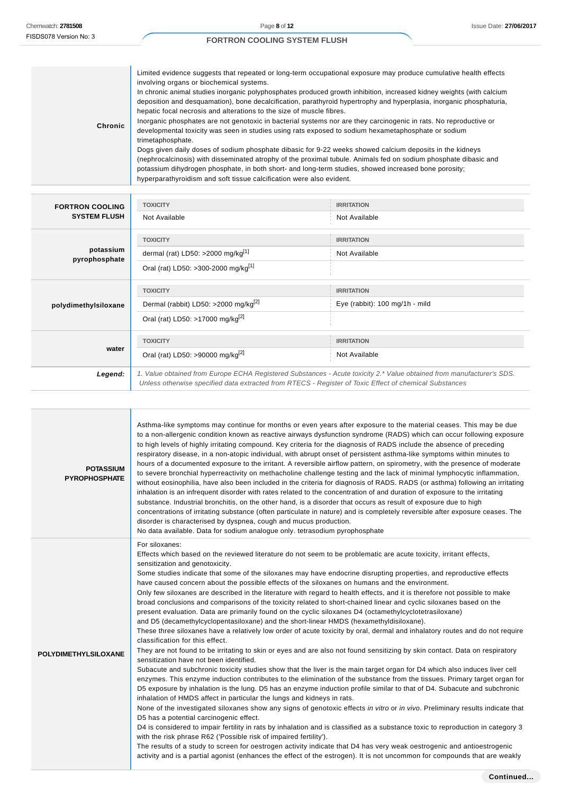h

# **FORTRON COOLING SYSTEM FLUSH**

| Chronic<br>trimetaphosphate. | Limited evidence suggests that repeated or long-term occupational exposure may produce cumulative health effects<br>involving organs or biochemical systems.<br>In chronic animal studies inorganic polyphosphates produced growth inhibition, increased kidney weights (with calcium<br>deposition and desquamation), bone decalcification, parathyroid hypertrophy and hyperplasia, inorganic phosphaturia,<br>hepatic focal necrosis and alterations to the size of muscle fibres.<br>Inorganic phosphates are not genotoxic in bacterial systems nor are they carcinogenic in rats. No reproductive or<br>developmental toxicity was seen in studies using rats exposed to sodium hexametaphosphate or sodium<br>Dogs given daily doses of sodium phosphate dibasic for 9-22 weeks showed calcium deposits in the kidneys<br>(nephrocalcinosis) with disseminated atrophy of the proximal tubule. Animals fed on sodium phosphate dibasic and<br>potassium dihydrogen phosphate, in both short- and long-term studies, showed increased bone porosity;<br>hyperparathyroidism and soft tissue calcification were also evident. |
|------------------------------|------------------------------------------------------------------------------------------------------------------------------------------------------------------------------------------------------------------------------------------------------------------------------------------------------------------------------------------------------------------------------------------------------------------------------------------------------------------------------------------------------------------------------------------------------------------------------------------------------------------------------------------------------------------------------------------------------------------------------------------------------------------------------------------------------------------------------------------------------------------------------------------------------------------------------------------------------------------------------------------------------------------------------------------------------------------------------------------------------------------------------------|
|------------------------------|------------------------------------------------------------------------------------------------------------------------------------------------------------------------------------------------------------------------------------------------------------------------------------------------------------------------------------------------------------------------------------------------------------------------------------------------------------------------------------------------------------------------------------------------------------------------------------------------------------------------------------------------------------------------------------------------------------------------------------------------------------------------------------------------------------------------------------------------------------------------------------------------------------------------------------------------------------------------------------------------------------------------------------------------------------------------------------------------------------------------------------|

| <b>FORTRON COOLING</b>     | <b>TOXICITY</b>                                                                                                                                                                                                                 | <b>IRRITATION</b>              |
|----------------------------|---------------------------------------------------------------------------------------------------------------------------------------------------------------------------------------------------------------------------------|--------------------------------|
| <b>SYSTEM FLUSH</b>        | Not Available                                                                                                                                                                                                                   | Not Available                  |
|                            | <b>TOXICITY</b>                                                                                                                                                                                                                 | <b>IRRITATION</b>              |
| potassium<br>pyrophosphate | dermal (rat) LD50: >2000 mg/kg $[1]$                                                                                                                                                                                            | Not Available                  |
|                            | Oral (rat) LD50: >300-2000 mg/kg <sup>[1]</sup>                                                                                                                                                                                 |                                |
|                            | <b>TOXICITY</b>                                                                                                                                                                                                                 | <b>IRRITATION</b>              |
| polydimethylsiloxane       | Dermal (rabbit) LD50: >2000 mg/kg <sup>[2]</sup>                                                                                                                                                                                | Eye (rabbit): 100 mg/1h - mild |
|                            | Oral (rat) LD50: >17000 mg/kg <sup>[2]</sup>                                                                                                                                                                                    |                                |
|                            | <b>TOXICITY</b>                                                                                                                                                                                                                 | <b>IRRITATION</b>              |
| water                      | Oral (rat) LD50: >90000 mg/kg <sup>[2]</sup>                                                                                                                                                                                    | Not Available                  |
| Legend:                    | 1. Value obtained from Europe ECHA Registered Substances - Acute toxicity 2.* Value obtained from manufacturer's SDS.<br>Unless otherwise specified data extracted from RTECS - Register of Toxic Effect of chemical Substances |                                |
|                            |                                                                                                                                                                                                                                 |                                |

| <b>POTASSIUM</b><br><b>PYROPHOSPHATE</b> | Asthma-like symptoms may continue for months or even years after exposure to the material ceases. This may be due<br>to a non-allergenic condition known as reactive airways dysfunction syndrome (RADS) which can occur following exposure<br>to high levels of highly irritating compound. Key criteria for the diagnosis of RADS include the absence of preceding<br>respiratory disease, in a non-atopic individual, with abrupt onset of persistent asthma-like symptoms within minutes to<br>hours of a documented exposure to the irritant. A reversible airflow pattern, on spirometry, with the presence of moderate<br>to severe bronchial hyperreactivity on methacholine challenge testing and the lack of minimal lymphocytic inflammation,<br>without eosinophilia, have also been included in the criteria for diagnosis of RADS. RADS (or asthma) following an irritating<br>inhalation is an infrequent disorder with rates related to the concentration of and duration of exposure to the irritating<br>substance. Industrial bronchitis, on the other hand, is a disorder that occurs as result of exposure due to high<br>concentrations of irritating substance (often particulate in nature) and is completely reversible after exposure ceases. The<br>disorder is characterised by dyspnea, cough and mucus production.<br>No data available. Data for sodium analogue only. tetrasodium pyrophosphate                                                                                                                                                                                                                                                                                                                                                                                                                                                                                                                                                                                                                                                                                                                                                                                                                                                                                     |
|------------------------------------------|---------------------------------------------------------------------------------------------------------------------------------------------------------------------------------------------------------------------------------------------------------------------------------------------------------------------------------------------------------------------------------------------------------------------------------------------------------------------------------------------------------------------------------------------------------------------------------------------------------------------------------------------------------------------------------------------------------------------------------------------------------------------------------------------------------------------------------------------------------------------------------------------------------------------------------------------------------------------------------------------------------------------------------------------------------------------------------------------------------------------------------------------------------------------------------------------------------------------------------------------------------------------------------------------------------------------------------------------------------------------------------------------------------------------------------------------------------------------------------------------------------------------------------------------------------------------------------------------------------------------------------------------------------------------------------------------------------------------------------------------------------------------------------------------------------------------------------------------------------------------------------------------------------------------------------------------------------------------------------------------------------------------------------------------------------------------------------------------------------------------------------------------------------------------------------------------------------------------------------------------------------------------------------------------------------------------|
| <b>POLYDIMETHYLSILOXANE</b>              | For siloxanes:<br>Effects which based on the reviewed literature do not seem to be problematic are acute toxicity, irritant effects,<br>sensitization and genotoxicity.<br>Some studies indicate that some of the siloxanes may have endocrine disrupting properties, and reproductive effects<br>have caused concern about the possible effects of the siloxanes on humans and the environment.<br>Only few siloxanes are described in the literature with regard to health effects, and it is therefore not possible to make<br>broad conclusions and comparisons of the toxicity related to short-chained linear and cyclic siloxanes based on the<br>present evaluation. Data are primarily found on the cyclic siloxanes D4 (octamethylcyclotetrasiloxane)<br>and D5 (decamethylcyclopentasiloxane) and the short-linear HMDS (hexamethyldisiloxane).<br>These three siloxanes have a relatively low order of acute toxicity by oral, dermal and inhalatory routes and do not require<br>classification for this effect.<br>They are not found to be irritating to skin or eyes and are also not found sensitizing by skin contact. Data on respiratory<br>sensitization have not been identified.<br>Subacute and subchronic toxicity studies show that the liver is the main target organ for D4 which also induces liver cell<br>enzymes. This enzyme induction contributes to the elimination of the substance from the tissues. Primary target organ for<br>D5 exposure by inhalation is the lung. D5 has an enzyme induction profile similar to that of D4. Subacute and subchronic<br>inhalation of HMDS affect in particular the lungs and kidneys in rats.<br>None of the investigated siloxanes show any signs of genotoxic effects in vitro or in vivo. Preliminary results indicate that<br>D5 has a potential carcinogenic effect.<br>D4 is considered to impair fertility in rats by inhalation and is classified as a substance toxic to reproduction in category 3<br>with the risk phrase R62 ('Possible risk of impaired fertility').<br>The results of a study to screen for oestrogen activity indicate that D4 has very weak oestrogenic and antioestrogenic<br>activity and is a partial agonist (enhances the effect of the estrogen). It is not uncommon for compounds that are weakly |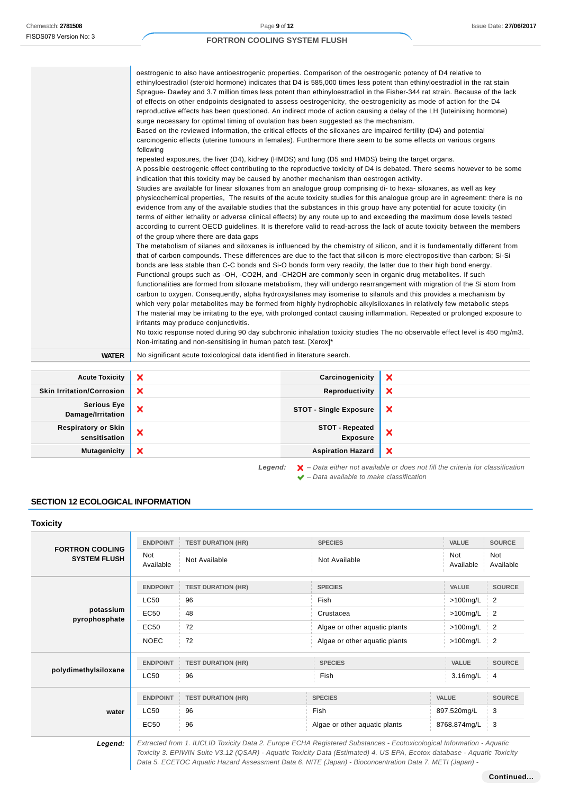$\mathbf{r}$ 

# **FORTRON COOLING SYSTEM FLUSH**

|              | oestrogenic to also have antioestrogenic properties. Comparison of the oestrogenic potency of D4 relative to<br>ethinyloestradiol (steroid hormone) indicates that D4 is 585,000 times less potent than ethinyloestradiol in the rat stain<br>Sprague- Dawley and 3.7 million times less potent than ethinyloestradiol in the Fisher-344 rat strain. Because of the lack<br>of effects on other endpoints designated to assess oestrogenicity, the oestrogenicity as mode of action for the D4<br>reproductive effects has been questioned. An indirect mode of action causing a delay of the LH (luteinising hormone)<br>surge necessary for optimal timing of ovulation has been suggested as the mechanism.<br>Based on the reviewed information, the critical effects of the siloxanes are impaired fertility (D4) and potential<br>carcinogenic effects (uterine tumours in females). Furthermore there seem to be some effects on various organs<br>following<br>repeated exposures, the liver (D4), kidney (HMDS) and lung (D5 and HMDS) being the target organs.<br>A possible oestrogenic effect contributing to the reproductive toxicity of D4 is debated. There seems however to be some<br>indication that this toxicity may be caused by another mechanism than oestrogen activity.<br>Studies are available for linear siloxanes from an analogue group comprising di- to hexa-siloxanes, as well as key<br>physicochemical properties. The results of the acute toxicity studies for this analogue group are in agreement: there is no<br>evidence from any of the available studies that the substances in this group have any potential for acute toxicity (in<br>terms of either lethality or adverse clinical effects) by any route up to and exceeding the maximum dose levels tested<br>according to current OECD guidelines. It is therefore valid to read-across the lack of acute toxicity between the members<br>of the group where there are data gaps<br>The metabolism of silanes and siloxanes is influenced by the chemistry of silicon, and it is fundamentally different from<br>that of carbon compounds. These differences are due to the fact that silicon is more electropositive than carbon; Si-Si<br>bonds are less stable than C-C bonds and Si-O bonds form very readily, the latter due to their high bond energy.<br>Functional groups such as -OH, -CO2H, and -CH2OH are commonly seen in organic drug metabolites. If such<br>functionalities are formed from siloxane metabolism, they will undergo rearrangement with migration of the Si atom from<br>carbon to oxygen. Consequently, alpha hydroxysilanes may isomerise to silanols and this provides a mechanism by<br>which very polar metabolites may be formed from highly hydrophobic alkylsiloxanes in relatively few metabolic steps<br>The material may be irritating to the eye, with prolonged contact causing inflammation. Repeated or prolonged exposure to |
|--------------|----------------------------------------------------------------------------------------------------------------------------------------------------------------------------------------------------------------------------------------------------------------------------------------------------------------------------------------------------------------------------------------------------------------------------------------------------------------------------------------------------------------------------------------------------------------------------------------------------------------------------------------------------------------------------------------------------------------------------------------------------------------------------------------------------------------------------------------------------------------------------------------------------------------------------------------------------------------------------------------------------------------------------------------------------------------------------------------------------------------------------------------------------------------------------------------------------------------------------------------------------------------------------------------------------------------------------------------------------------------------------------------------------------------------------------------------------------------------------------------------------------------------------------------------------------------------------------------------------------------------------------------------------------------------------------------------------------------------------------------------------------------------------------------------------------------------------------------------------------------------------------------------------------------------------------------------------------------------------------------------------------------------------------------------------------------------------------------------------------------------------------------------------------------------------------------------------------------------------------------------------------------------------------------------------------------------------------------------------------------------------------------------------------------------------------------------------------------------------------------------------------------------------------------------------------------------------------------------------------------------------------------------------------------------------------------------------------------------------------------------------------------------------------------------------------------------------------------------------------------------------------------------------------------------------------------------------------------------------|
|              | irritants may produce conjunctivitis.<br>No toxic response noted during 90 day subchronic inhalation toxicity studies The no observable effect level is 450 mg/m3.<br>Non-irritating and non-sensitising in human patch test. [Xerox]*                                                                                                                                                                                                                                                                                                                                                                                                                                                                                                                                                                                                                                                                                                                                                                                                                                                                                                                                                                                                                                                                                                                                                                                                                                                                                                                                                                                                                                                                                                                                                                                                                                                                                                                                                                                                                                                                                                                                                                                                                                                                                                                                                                                                                                                                                                                                                                                                                                                                                                                                                                                                                                                                                                                                     |
| <b>WATER</b> | No significant acute toxicological data identified in literature search.                                                                                                                                                                                                                                                                                                                                                                                                                                                                                                                                                                                                                                                                                                                                                                                                                                                                                                                                                                                                                                                                                                                                                                                                                                                                                                                                                                                                                                                                                                                                                                                                                                                                                                                                                                                                                                                                                                                                                                                                                                                                                                                                                                                                                                                                                                                                                                                                                                                                                                                                                                                                                                                                                                                                                                                                                                                                                                   |

| <b>Acute Toxicity</b>                       | $\boldsymbol{\mathsf{x}}$ | Carcinogenicity                           | ×                                                                                                                                                                                                                              |
|---------------------------------------------|---------------------------|-------------------------------------------|--------------------------------------------------------------------------------------------------------------------------------------------------------------------------------------------------------------------------------|
| <b>Skin Irritation/Corrosion</b>            | $\boldsymbol{\mathsf{x}}$ | Reproductivity                            | ×                                                                                                                                                                                                                              |
| <b>Serious Eye</b><br>Damage/Irritation     | $\boldsymbol{\mathsf{x}}$ | <b>STOT - Single Exposure</b>             | $\boldsymbol{\mathsf{x}}$                                                                                                                                                                                                      |
| <b>Respiratory or Skin</b><br>sensitisation | $\boldsymbol{\mathsf{x}}$ | <b>STOT - Repeated</b><br><b>Exposure</b> | ×                                                                                                                                                                                                                              |
| <b>Mutagenicity</b>                         | $\boldsymbol{\mathsf{x}}$ | <b>Aspiration Hazard</b>                  | $\boldsymbol{\mathsf{x}}$                                                                                                                                                                                                      |
|                                             |                           |                                           | the second contract of the contract of the contract of the contract of the contract of the contract of the contract of the contract of the contract of the contract of the contract of the contract of the contract of the con |

Legend:  $\mathsf{X}$  - Data either not available or does not fill the criteria for classification  $\blacktriangleright$  – Data available to make classification

# **SECTION 12 ECOLOGICAL INFORMATION**

**Toxicity**

| .                                             |                  |                           |                                                                                                                                                                                                                                                 |              |                         |
|-----------------------------------------------|------------------|---------------------------|-------------------------------------------------------------------------------------------------------------------------------------------------------------------------------------------------------------------------------------------------|--------------|-------------------------|
|                                               | <b>ENDPOINT</b>  | <b>TEST DURATION (HR)</b> | <b>SPECIES</b>                                                                                                                                                                                                                                  | <b>VALUE</b> | <b>SOURCE</b>           |
| <b>FORTRON COOLING</b><br><b>SYSTEM FLUSH</b> | Not<br>Available | Not Available             | Not<br>Not Available<br>Available                                                                                                                                                                                                               |              | <b>Not</b><br>Available |
|                                               | <b>ENDPOINT</b>  | <b>TEST DURATION (HR)</b> | <b>SPECIES</b>                                                                                                                                                                                                                                  | <b>VALUE</b> | <b>SOURCE</b>           |
|                                               | <b>LC50</b>      | 96                        | Fish                                                                                                                                                                                                                                            | $>100$ mg/L  | 2                       |
| potassium                                     | <b>EC50</b>      | 48                        | Crustacea                                                                                                                                                                                                                                       | $>100$ mg/L  |                         |
| pyrophosphate                                 | EC50             | 72                        | Algae or other aquatic plants                                                                                                                                                                                                                   | $>100$ mg/L  |                         |
|                                               | <b>NOEC</b>      | 72                        | Algae or other aquatic plants                                                                                                                                                                                                                   | $>100$ mg/L  | $\overline{2}$          |
|                                               | <b>ENDPOINT</b>  | <b>TEST DURATION (HR)</b> | <b>SPECIES</b>                                                                                                                                                                                                                                  | <b>VALUE</b> | <b>SOURCE</b>           |
| polydimethylsiloxane                          | LC50             | 96                        | Fish                                                                                                                                                                                                                                            | 3.16mg/L     | 4                       |
|                                               | <b>ENDPOINT</b>  | <b>TEST DURATION (HR)</b> | <b>SPECIES</b>                                                                                                                                                                                                                                  | <b>VALUE</b> | <b>SOURCE</b>           |
| water                                         | LC50             | 96                        | Fish                                                                                                                                                                                                                                            | 897.520mg/L  | 3                       |
|                                               | <b>EC50</b>      | 96                        | Algae or other aquatic plants                                                                                                                                                                                                                   | 8768.874mg/L | 3                       |
| Legend:                                       |                  |                           | Extracted from 1. IUCLID Toxicity Data 2. Europe ECHA Registered Substances - Ecotoxicological Information - Aquatic<br>Toxicity 3. EPIWIN Suite V3.12 (QSAR) - Aquatic Toxicity Data (Estimated) 4. US EPA, Ecotox database - Aquatic Toxicity |              |                         |

Data 5. ECETOC Aquatic Hazard Assessment Data 6. NITE (Japan) - Bioconcentration Data 7. METI (Japan) -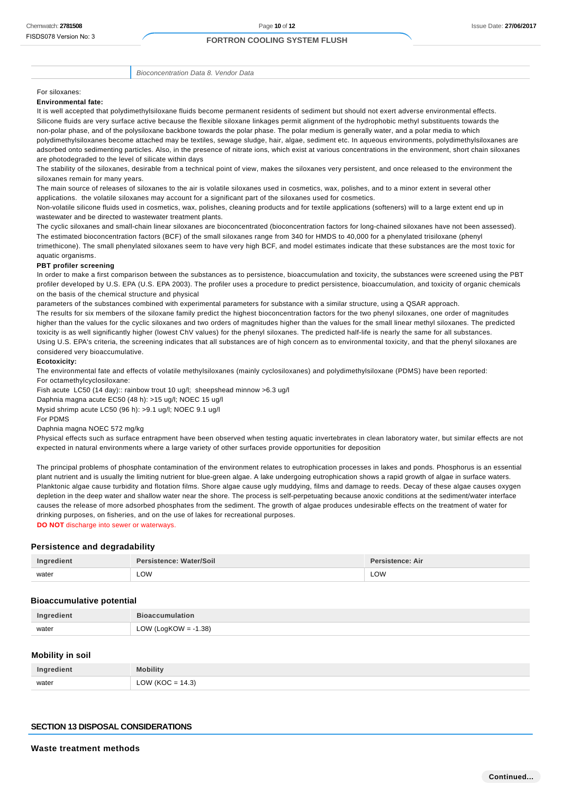Bioconcentration Data 8. Vendor Data

#### For siloxanes:

#### **Environmental fate:**

It is well accepted that polydimethylsiloxane fluids become permanent residents of sediment but should not exert adverse environmental effects. Silicone fluids are very surface active because the flexible siloxane linkages permit alignment of the hydrophobic methyl substituents towards the non-polar phase, and of the polysiloxane backbone towards the polar phase. The polar medium is generally water, and a polar media to which polydimethylsiloxanes become attached may be textiles, sewage sludge, hair, algae, sediment etc. In aqueous environments, polydimethylsiloxanes are adsorbed onto sedimenting particles. Also, in the presence of nitrate ions, which exist at various concentrations in the environment, short chain siloxanes are photodegraded to the level of silicate within days

The stability of the siloxanes, desirable from a technical point of view, makes the siloxanes very persistent, and once released to the environment the siloxanes remain for many years.

The main source of releases of siloxanes to the air is volatile siloxanes used in cosmetics, wax, polishes, and to a minor extent in several other applications. the volatile siloxanes may account for a significant part of the siloxanes used for cosmetics.

Non-volatile silicone fluids used in cosmetics, wax, polishes, cleaning products and for textile applications (softeners) will to a large extent end up in wastewater and be directed to wastewater treatment plants.

The cyclic siloxanes and small-chain linear siloxanes are bioconcentrated (bioconcentration factors for long-chained siloxanes have not been assessed). The estimated bioconcentration factors (BCF) of the small siloxanes range from 340 for HMDS to 40,000 for a phenylated trisiloxane (phenyl trimethicone). The small phenylated siloxanes seem to have very high BCF, and model estimates indicate that these substances are the most toxic for aquatic organisms.

#### **PBT profiler screening**

In order to make a first comparison between the substances as to persistence, bioaccumulation and toxicity, the substances were screened using the PBT profiler developed by U.S. EPA (U.S. EPA 2003). The profiler uses a procedure to predict persistence, bioaccumulation, and toxicity of organic chemicals on the basis of the chemical structure and physical

parameters of the substances combined with experimental parameters for substance with a similar structure, using a QSAR approach. The results for six members of the siloxane family predict the highest bioconcentration factors for the two phenyl siloxanes, one order of magnitudes higher than the values for the cyclic siloxanes and two orders of magnitudes higher than the values for the small linear methyl siloxanes. The predicted toxicity is as well significantly higher (lowest ChV values) for the phenyl siloxanes. The predicted half-life is nearly the same for all substances. Using U.S. EPA's criteria, the screening indicates that all substances are of high concern as to environmental toxicity, and that the phenyl siloxanes are considered very bioaccumulative.

#### **Ecotoxicity:**

The environmental fate and effects of volatile methylsiloxanes (mainly cyclosiloxanes) and polydimethylsiloxane (PDMS) have been reported: For octamethylcyclosiloxane:

Fish acute LC50 (14 day):: rainbow trout 10 ug/l; sheepshead minnow >6.3 ug/l

Daphnia magna acute EC50 (48 h): >15 ug/l; NOEC 15 ug/l

Mysid shrimp acute LC50 (96 h): >9.1 ug/l; NOEC 9.1 ug/l

For PDMS

Daphnia magna NOEC 572 mg/kg

Physical effects such as surface entrapment have been observed when testing aquatic invertebrates in clean laboratory water, but similar effects are not expected in natural environments where a large variety of other surfaces provide opportunities for deposition

The principal problems of phosphate contamination of the environment relates to eutrophication processes in lakes and ponds. Phosphorus is an essential plant nutrient and is usually the limiting nutrient for blue-green algae. A lake undergoing eutrophication shows a rapid growth of algae in surface waters. Planktonic algae cause turbidity and flotation films. Shore algae cause ugly muddying, films and damage to reeds. Decay of these algae causes oxygen depletion in the deep water and shallow water near the shore. The process is self-perpetuating because anoxic conditions at the sediment/water interface causes the release of more adsorbed phosphates from the sediment. The growth of algae produces undesirable effects on the treatment of water for drinking purposes, on fisheries, and on the use of lakes for recreational purposes. **DO NOT** discharge into sewer or waterways.

#### **Persistence and degradability**

| Indredient | Persistence: Water/Soil | rsistence: Air |
|------------|-------------------------|----------------|
| water      | LOW                     | LOW            |

#### **Bioaccumulative potential**

| Ingredient | <b>Example 19 Bioaccumulation</b> |
|------------|-----------------------------------|
| water      | $\degree$ OW (LogKOW = -1.38)     |

#### **Mobility in soil**

| Ingredient | Mobilitv             |
|------------|----------------------|
| water      | LOW ( $KOC = 14.3$ ) |

### **SECTION 13 DISPOSAL CONSIDERATIONS**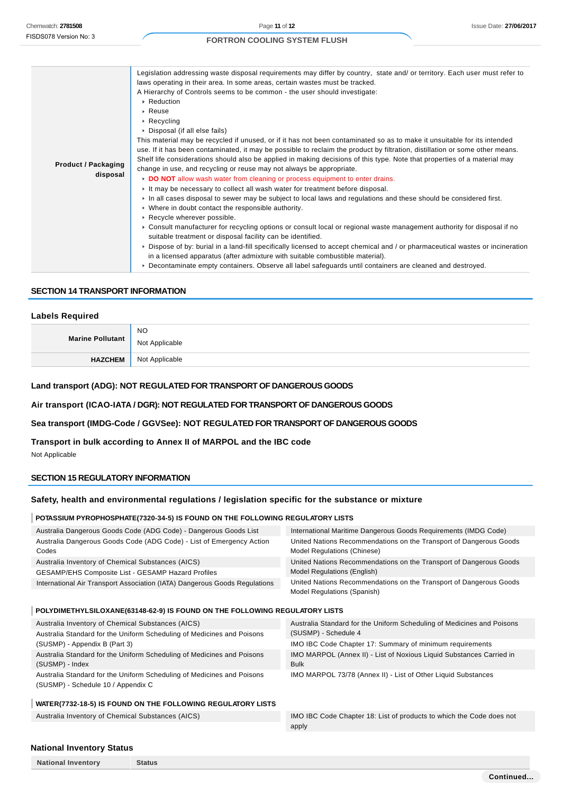| A Hierarchy of Controls seems to be common - the user should investigate:<br>▶ Reduction<br>$\triangleright$ Reuse                                                                    |  |
|---------------------------------------------------------------------------------------------------------------------------------------------------------------------------------------|--|
| $\triangleright$ Recycling                                                                                                                                                            |  |
| ▶ Disposal (if all else fails)                                                                                                                                                        |  |
| This material may be recycled if unused, or if it has not been contaminated so as to make it unsuitable for its intended                                                              |  |
| use. If it has been contaminated, it may be possible to reclaim the product by filtration, distillation or some other means.                                                          |  |
| Shelf life considerations should also be applied in making decisions of this type. Note that properties of a material may<br><b>Product / Packaging</b>                               |  |
| change in use, and recycling or reuse may not always be appropriate.<br>disposal                                                                                                      |  |
| DO NOT allow wash water from cleaning or process equipment to enter drains.                                                                                                           |  |
| It may be necessary to collect all wash water for treatment before disposal.                                                                                                          |  |
| In all cases disposal to sewer may be subject to local laws and regulations and these should be considered first.                                                                     |  |
| • Where in doubt contact the responsible authority.                                                                                                                                   |  |
| ▶ Recycle wherever possible.                                                                                                                                                          |  |
| ► Consult manufacturer for recycling options or consult local or regional waste management authority for disposal if no<br>suitable treatment or disposal facility can be identified. |  |
| ▶ Dispose of by: burial in a land-fill specifically licensed to accept chemical and / or pharmaceutical wastes or incineration                                                        |  |
| in a licensed apparatus (after admixture with suitable combustible material).                                                                                                         |  |
| ▶ Decontaminate empty containers. Observe all label safeguards until containers are cleaned and destroyed.                                                                            |  |

#### **SECTION 14 TRANSPORT INFORMATION**

### **Labels Required**

| Marine Pollutant | <b>NO</b>      |
|------------------|----------------|
|                  | Not Applicable |
| <b>HAZCHEM</b>   | Not Applicable |

#### **Land transport (ADG): NOT REGULATED FOR TRANSPORT OF DANGEROUS GOODS**

#### **Air transport (ICAO-IATA / DGR): NOT REGULATED FOR TRANSPORT OF DANGEROUS GOODS**

#### **Sea transport (IMDG-Code / GGVSee): NOT REGULATED FOR TRANSPORT OF DANGEROUS GOODS**

#### **Transport in bulk according to Annex II of MARPOL and the IBC code**

Not Applicable

### **SECTION 15 REGULATORY INFORMATION**

### **Safety, health and environmental regulations / legislation specific for the substance or mixture**

#### **POTASSIUM PYROPHOSPHATE(7320-34-5) IS FOUND ON THE FOLLOWING REGULATORY LISTS**

| Australia Dangerous Goods Code (ADG Code) - Dangerous Goods List              | International Maritime Dangerous Goods Requirements (IMDG Code)                                          |
|-------------------------------------------------------------------------------|----------------------------------------------------------------------------------------------------------|
| Australia Dangerous Goods Code (ADG Code) - List of Emergency Action<br>Codes | United Nations Recommendations on the Transport of Dangerous Goods<br><b>Model Regulations (Chinese)</b> |
| Australia Inventory of Chemical Substances (AICS)                             | United Nations Recommendations on the Transport of Dangerous Goods                                       |
| GESAMP/EHS Composite List - GESAMP Hazard Profiles                            | <b>Model Regulations (English)</b>                                                                       |
| International Air Transport Association (IATA) Dangerous Goods Regulations    | United Nations Recommendations on the Transport of Dangerous Goods<br>Model Regulations (Spanish)        |

#### **POLYDIMETHYLSILOXANE(63148-62-9) IS FOUND ON THE FOLLOWING REGULATORY LISTS**

| Australia Inventory of Chemical Substances (AICS)                      | Australia Standard for the Uniform Scheduling of Medicines and Poisons |
|------------------------------------------------------------------------|------------------------------------------------------------------------|
| Australia Standard for the Uniform Scheduling of Medicines and Poisons | (SUSMP) - Schedule 4                                                   |
| (SUSMP) - Appendix B (Part 3)                                          | IMO IBC Code Chapter 17: Summary of minimum requirements               |
| Australia Standard for the Uniform Scheduling of Medicines and Poisons | IMO MARPOL (Annex II) - List of Noxious Liquid Substances Carried in   |
| (SUSMP) - Index                                                        | <b>Bulk</b>                                                            |
| Australia Standard for the Uniform Scheduling of Medicines and Poisons | IMO MARPOL 73/78 (Annex II) - List of Other Liquid Substances          |
| (SUSMP) - Schedule 10 / Appendix C                                     |                                                                        |

#### **WATER(7732-18-5) IS FOUND ON THE FOLLOWING REGULATORY LISTS**

**National Inventory Status**

Australia Inventory of Chemical Substances (AICS) IMO IBC Code Chapter 18: List of products to which the Code does not apply

#### **National Inventory Status**

|  | <b>National Inventory</b> |  |
|--|---------------------------|--|
|--|---------------------------|--|